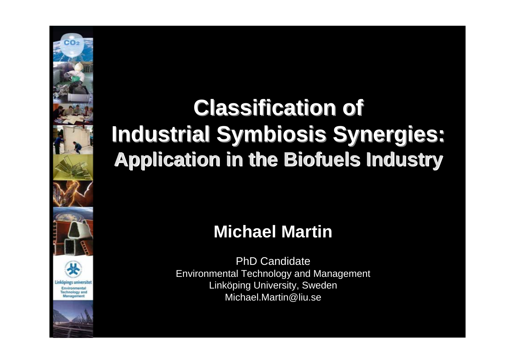# **Classification of Classification of Industrial Symbiosis Synergies: Industrial Symbiosis Synergies: Application in the Biofuels Industry Application in the Biofuels Industry**

# **Michael Martin**

PhD CandidateEnvironmental Technology and Management Linköping University, Sweden Michael.Martin@liu.se



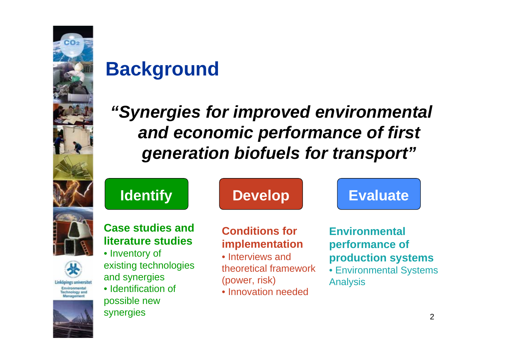

# **Background**

# *"Synergies for improved environmental and economic performance of first generation biofuels for transport"*



#### **Case studies and literature studies**

• Inventory of existing technologies and synergies • Identification of possible new synergies

## **Identify | Develop | Evaluate**

### **Conditions for implementation**

- Interviews and theoretical framework (power, risk)
- Innovation needed

### **Environmental performance of production systems**

• Environmental Systems Analysis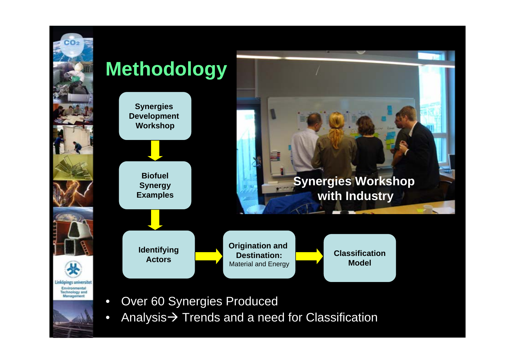



- 
- Over 60 Synergies Produced
- Analysis $\bm{\rightarrow}$  Trends and a need for Classification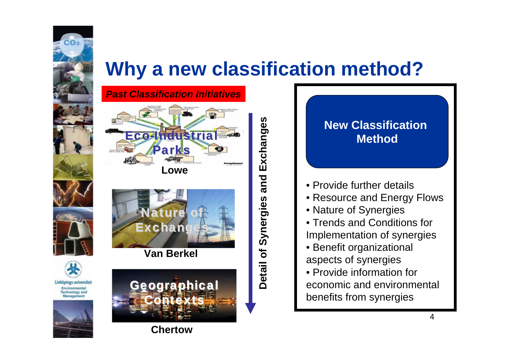



co<sub>2</sub>

**Linköpings universitet** Environmental **Technology and** Management



**Van Berkel**



**Chertow**

**Detail of Synergies and Exchanges** Detail of Synergies and Exchanges

#### **New Classification Method**

- Provide further details
- Resource and Energy Flows
- Nature of Synergies
- Trends and Conditions for Implementation of synergies
- Benefit organizational aspects of synergies
- Provide information for economic and environmental benefits from synergies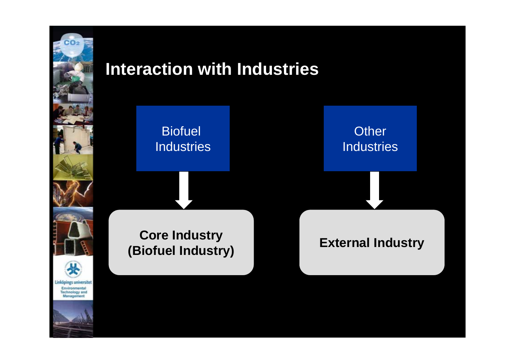

## **Interaction with Industries**

### **Biofuel** Industries

**Other** Industries

**External Industry Core Industry (Biofuel Industry)**

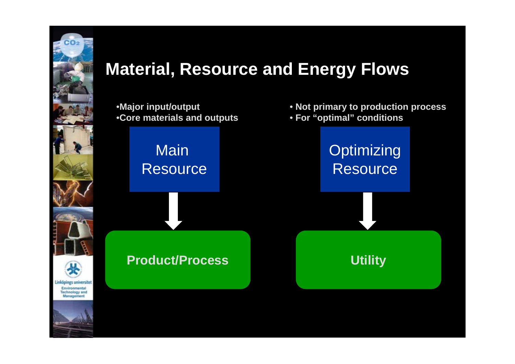

## **Material, Resource and Energy Flows**

•**Major input/output** •**Core materials and outputs**

> Main Resource

**Product/Process**

• **Not primary to production process**

• **For "optimal" conditions**

**Optimizing** Resource

**Utility**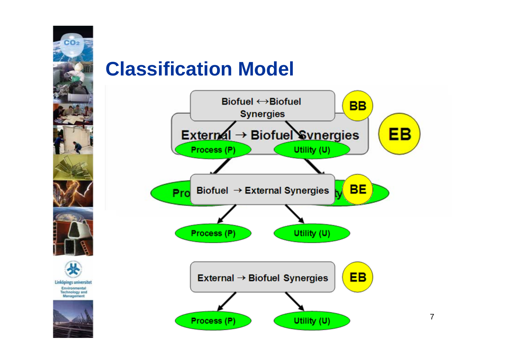

#### Linköpings universitet Environmental **Technology and** Management



# **Classification Model**

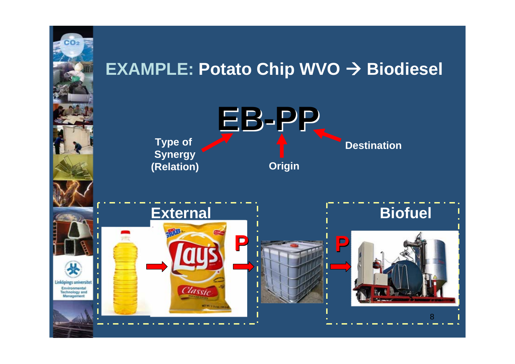

## **EXAMPLE: Potato Chip WVO → Biodiesel**